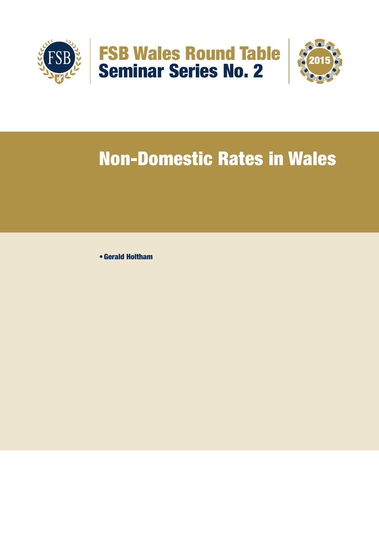



# Non-Domestic Rates in Wales

• Gerald Holtham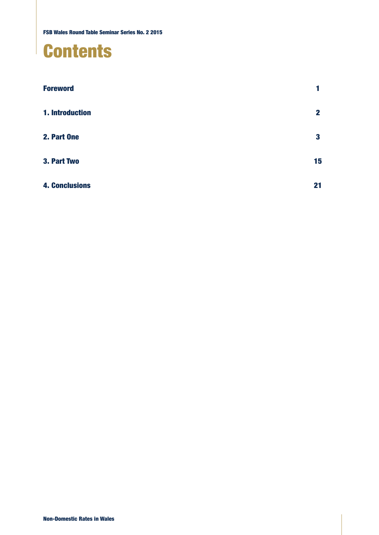# **Contents**

| <b>Foreword</b>       |              |
|-----------------------|--------------|
| 1. Introduction       | $\mathbf{2}$ |
| 2. Part One           | 3            |
| 3. Part Two           | 15           |
| <b>4. Conclusions</b> | 21           |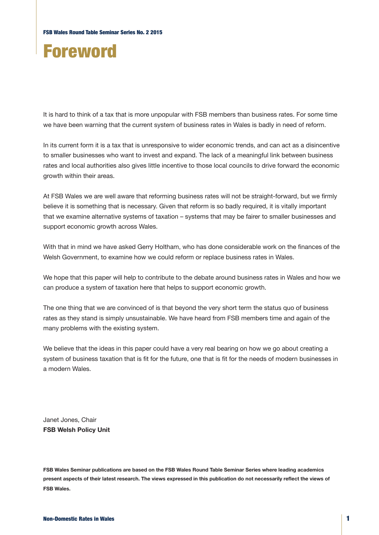# Foreword

It is hard to think of a tax that is more unpopular with FSB members than business rates. For some time we have been warning that the current system of business rates in Wales is badly in need of reform.

In its current form it is a tax that is unresponsive to wider economic trends, and can act as a disincentive to smaller businesses who want to invest and expand. The lack of a meaningful link between business rates and local authorities also gives little incentive to those local councils to drive forward the economic growth within their areas.

At FSB Wales we are well aware that reforming business rates will not be straight-forward, but we firmly believe it is something that is necessary. Given that reform is so badly required, it is vitally important that we examine alternative systems of taxation – systems that may be fairer to smaller businesses and support economic growth across Wales.

With that in mind we have asked Gerry Holtham, who has done considerable work on the finances of the Welsh Government, to examine how we could reform or replace business rates in Wales.

We hope that this paper will help to contribute to the debate around business rates in Wales and how we can produce a system of taxation here that helps to support economic growth.

The one thing that we are convinced of is that beyond the very short term the status quo of business rates as they stand is simply unsustainable. We have heard from FSB members time and again of the many problems with the existing system.

We believe that the ideas in this paper could have a very real bearing on how we go about creating a system of business taxation that is fit for the future, one that is fit for the needs of modern businesses in a modern Wales.

Janet Jones, Chair **FSB Welsh Policy Unit**

**FSB Wales Seminar publications are based on the FSB Wales Round Table Seminar Series where leading academics present aspects of their latest research. The views expressed in this publication do not necessarily reflect the views of FSB Wales.**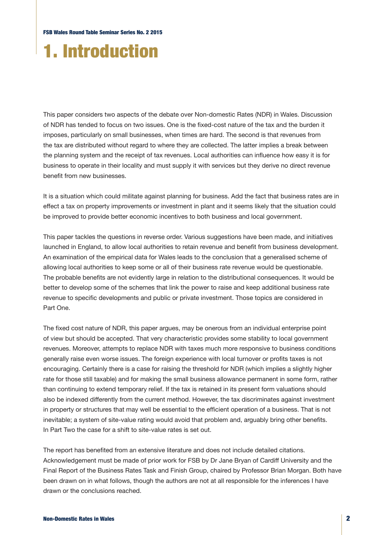# 1. Introduction

This paper considers two aspects of the debate over Non-domestic Rates (NDR) in Wales. Discussion of NDR has tended to focus on two issues. One is the fixed-cost nature of the tax and the burden it imposes, particularly on small businesses, when times are hard. The second is that revenues from the tax are distributed without regard to where they are collected. The latter implies a break between the planning system and the receipt of tax revenues. Local authorities can influence how easy it is for business to operate in their locality and must supply it with services but they derive no direct revenue benefit from new businesses.

It is a situation which could militate against planning for business. Add the fact that business rates are in effect a tax on property improvements or investment in plant and it seems likely that the situation could be improved to provide better economic incentives to both business and local government.

This paper tackles the questions in reverse order. Various suggestions have been made, and initiatives launched in England, to allow local authorities to retain revenue and benefit from business development. An examination of the empirical data for Wales leads to the conclusion that a generalised scheme of allowing local authorities to keep some or all of their business rate revenue would be questionable. The probable benefits are not evidently large in relation to the distributional consequences. It would be better to develop some of the schemes that link the power to raise and keep additional business rate revenue to specific developments and public or private investment. Those topics are considered in Part One.

The fixed cost nature of NDR, this paper argues, may be onerous from an individual enterprise point of view but should be accepted. That very characteristic provides some stability to local government revenues. Moreover, attempts to replace NDR with taxes much more responsive to business conditions generally raise even worse issues. The foreign experience with local turnover or profits taxes is not encouraging. Certainly there is a case for raising the threshold for NDR (which implies a slightly higher rate for those still taxable) and for making the small business allowance permanent in some form, rather than continuing to extend temporary relief. If the tax is retained in its present form valuations should also be indexed differently from the current method. However, the tax discriminates against investment in property or structures that may well be essential to the efficient operation of a business. That is not inevitable; a system of site-value rating would avoid that problem and, arguably bring other benefits. In Part Two the case for a shift to site-value rates is set out.

The report has benefited from an extensive literature and does not include detailed citations. Acknowledgement must be made of prior work for FSB by Dr Jane Bryan of Cardiff University and the Final Report of the Business Rates Task and Finish Group, chaired by Professor Brian Morgan. Both have been drawn on in what follows, though the authors are not at all responsible for the inferences I have drawn or the conclusions reached.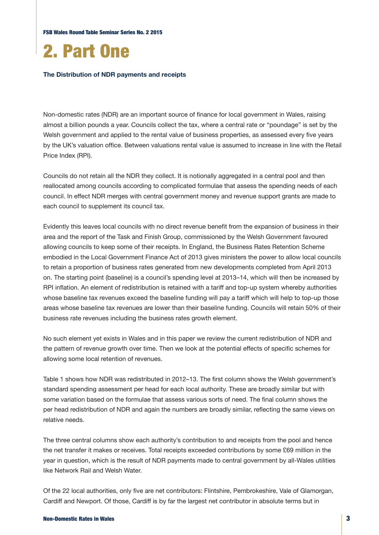FSB Wales Round Table Seminar Series No. 2 2015



#### **The Distribution of NDR payments and receipts**

Non-domestic rates (NDR) are an important source of finance for local government in Wales, raising almost a billion pounds a year. Councils collect the tax, where a central rate or "poundage" is set by the Welsh government and applied to the rental value of business properties, as assessed every five years by the UK's valuation office. Between valuations rental value is assumed to increase in line with the Retail Price Index (RPI).

Councils do not retain all the NDR they collect. It is notionally aggregated in a central pool and then reallocated among councils according to complicated formulae that assess the spending needs of each council. In effect NDR merges with central government money and revenue support grants are made to each council to supplement its council tax.

Evidently this leaves local councils with no direct revenue benefit from the expansion of business in their area and the report of the Task and Finish Group, commissioned by the Welsh Government favoured allowing councils to keep some of their receipts. In England, the Business Rates Retention Scheme embodied in the Local Government Finance Act of 2013 gives ministers the power to allow local councils to retain a proportion of business rates generated from new developments completed from April 2013 on. The starting point (baseline) is a council's spending level at 2013–14, which will then be increased by RPI inflation. An element of redistribution is retained with a tariff and top-up system whereby authorities whose baseline tax revenues exceed the baseline funding will pay a tariff which will help to top-up those areas whose baseline tax revenues are lower than their baseline funding. Councils will retain 50% of their business rate revenues including the business rates growth element.

No such element yet exists in Wales and in this paper we review the current redistribution of NDR and the pattern of revenue growth over time. Then we look at the potential effects of specific schemes for allowing some local retention of revenues.

Table 1 shows how NDR was redistributed in 2012–13. The first column shows the Welsh government's standard spending assessment per head for each local authority. These are broadly similar but with some variation based on the formulae that assess various sorts of need. The final column shows the per head redistribution of NDR and again the numbers are broadly similar, reflecting the same views on relative needs.

The three central columns show each authority's contribution to and receipts from the pool and hence the net transfer it makes or receives. Total receipts exceeded contributions by some £69 million in the year in question, which is the result of NDR payments made to central government by all-Wales utilities like Network Rail and Welsh Water.

Of the 22 local authorities, only five are net contributors: Flintshire, Pembrokeshire, Vale of Glamorgan, Cardiff and Newport. Of those, Cardiff is by far the largest net contributor in absolute terms but in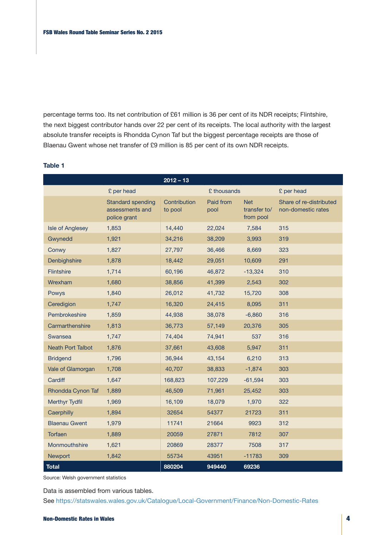percentage terms too. Its net contribution of £61 million is 36 per cent of its NDR receipts; Flintshire, the next biggest contributor hands over 22 per cent of its receipts. The local authority with the largest absolute transfer receipts is Rhondda Cynon Taf but the biggest percentage receipts are those of Blaenau Gwent whose net transfer of £9 million is 85 per cent of its own NDR receipts.

|                          |                                                             | $2012 - 13$             |                   |                                         |                                               |
|--------------------------|-------------------------------------------------------------|-------------------------|-------------------|-----------------------------------------|-----------------------------------------------|
|                          | £ per head                                                  |                         | £ thousands       |                                         | £ per head                                    |
|                          | <b>Standard spending</b><br>assessments and<br>police grant | Contribution<br>to pool | Paid from<br>pool | <b>Net</b><br>transfer to/<br>from pool | Share of re-distributed<br>non-domestic rates |
| <b>Isle of Anglesey</b>  | 1,853                                                       | 14,440                  | 22,024            | 7,584                                   | 315                                           |
| Gwynedd                  | 1,921                                                       | 34,216                  | 38,209            | 3,993                                   | 319                                           |
| Conwy                    | 1,827                                                       | 27,797                  | 36,466            | 8,669                                   | 323                                           |
| Denbighshire             | 1,878                                                       | 18,442                  | 29,051            | 10,609                                  | 291                                           |
| <b>Flintshire</b>        | 1,714                                                       | 60,196                  | 46,872            | $-13,324$                               | 310                                           |
| Wrexham                  | 1,680                                                       | 38,856                  | 41,399            | 2,543                                   | 302                                           |
| Powys                    | 1,840                                                       | 26,012                  | 41,732            | 15,720                                  | 308                                           |
| Ceredigion               | 1,747                                                       | 16,320                  | 24,415            | 8,095                                   | 311                                           |
| Pembrokeshire            | 1,859                                                       | 44,938                  | 38,078            | $-6,860$                                | 316                                           |
| Carmarthenshire          | 1,813                                                       | 36,773                  | 57,149            | 20,376                                  | 305                                           |
| Swansea                  | 1,747                                                       | 74,404                  | 74,941            | 537                                     | 316                                           |
| <b>Neath Port Talbot</b> | 1,876                                                       | 37,661                  | 43,608            | 5,947                                   | 311                                           |
| <b>Bridgend</b>          | 1,796                                                       | 36,944                  | 43,154            | 6,210                                   | 313                                           |
| Vale of Glamorgan        | 1,708                                                       | 40,707                  | 38,833            | $-1,874$                                | 303                                           |
| Cardiff                  | 1,647                                                       | 168,823                 | 107,229           | $-61,594$                               | 303                                           |
| Rhondda Cynon Taf        | 1,889                                                       | 46,509                  | 71,961            | 25,452                                  | 303                                           |
| <b>Merthyr Tydfil</b>    | 1,969                                                       | 16,109                  | 18,079            | 1,970                                   | 322                                           |
| Caerphilly               | 1,894                                                       | 32654                   | 54377             | 21723                                   | 311                                           |
| <b>Blaenau Gwent</b>     | 1,979                                                       | 11741                   | 21664             | 9923                                    | 312                                           |
| Torfaen                  | 1,889                                                       | 20059                   | 27871             | 7812                                    | 307                                           |
| Monmouthshire            | 1,621                                                       | 20869                   | 28377             | 7508                                    | 317                                           |
| Newport                  | 1,842                                                       | 55734                   | 43951             | $-11783$                                | 309                                           |
| <b>Total</b>             |                                                             | 880204                  | 949440            | 69236                                   |                                               |

### **Table 1**

Source: Welsh government statistics

Data is assembled from various tables.

See https://statswales.wales.gov.uk/Catalogue/Local-Government/Finance/Non-Domestic-Rates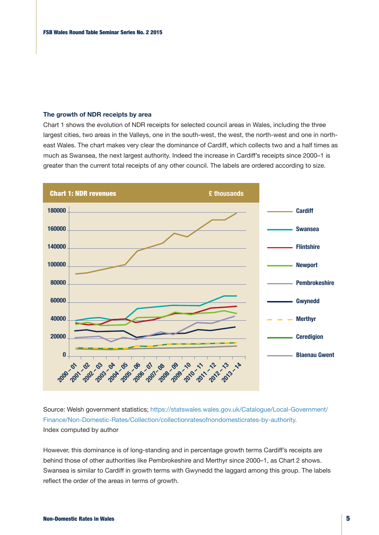## **The growth of NDR receipts by area**

Chart 1 shows the evolution of NDR receipts for selected council areas in Wales, including the three largest cities, two areas in the Valleys, one in the south-west, the west, the north-west and one in northeast Wales. The chart makes very clear the dominance of Cardiff, which collects two and a half times as much as Swansea, the next largest authority. Indeed the increase in Cardiff's receipts since 2000–1 is greater than the current total receipts of any other council. The labels are ordered according to size.



Source: Welsh government statistics; https://statswales.wales.gov.uk/Catalogue/Local-Government/ Finance/Non-Domestic-Rates/Collection/collectionratesofnondomesticrates-by-authority. Index computed by author

However, this dominance is of long-standing and in percentage growth terms Cardiff's receipts are behind those of other authorities like Pembrokeshire and Merthyr since 2000–1, as Chart 2 shows. Swansea is similar to Cardiff in growth terms with Gwynedd the laggard among this group. The labels reflect the order of the areas in terms of growth.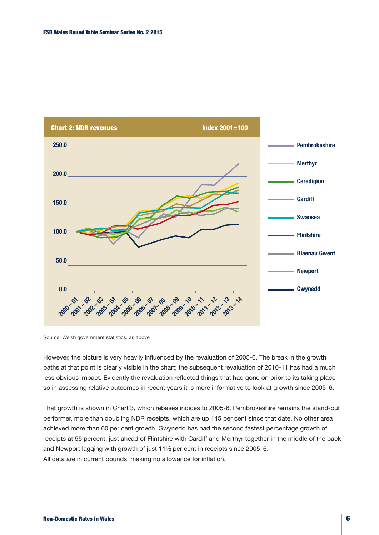

Source: Welsh government statistics, as above

However, the picture is very heavily influenced by the revaluation of 2005-6. The break in the growth paths at that point is clearly visible in the chart; the subsequent revaluation of 2010-11 has had a much less obvious impact. Evidently the revaluation reflected things that had gone on prior to its taking place so in assessing relative outcomes in recent years it is more informative to look at growth since 2005–6.

That growth is shown in Chart 3, which rebases indices to 2005-6. Pembrokeshire remains the stand-out performer, more than doubling NDR receipts, which are up 145 per cent since that date. No other area achieved more than 60 per cent growth. Gwynedd has had the second fastest percentage growth of receipts at 55 percent, just ahead of Flintshire with Cardiff and Merthyr together in the middle of the pack and Newport lagging with growth of just 11½ per cent in receipts since 2005–6. All data are in current pounds, making no allowance for inflation.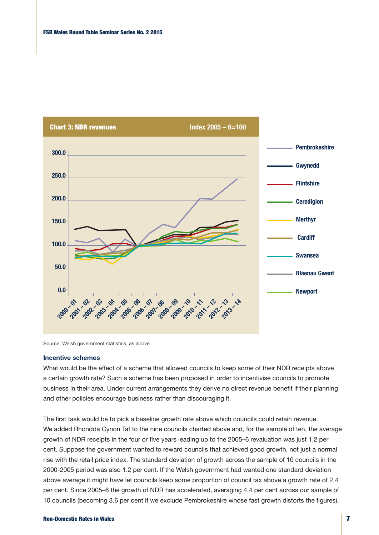

Source: Welsh government statistics, as above

#### **Incentive schemes**

What would be the effect of a scheme that allowed councils to keep some of their NDR receipts above a certain growth rate? Such a scheme has been proposed in order to incentivise councils to promote business in their area. Under current arrangements they derive no direct revenue benefit if their planning and other policies encourage business rather than discouraging it.

The first task would be to pick a baseline growth rate above which councils could retain revenue. We added Rhondda Cynon Taf to the nine councils charted above and, for the sample of ten, the average growth of NDR receipts in the four or five years leading up to the 2005–6 revaluation was just 1.2 per cent. Suppose the government wanted to reward councils that achieved good growth, not just a normal rise with the retail price index. The standard deviation of growth across the sample of 10 councils in the 2000-2005 period was also 1.2 per cent. If the Welsh government had wanted one standard deviation above average it might have let councils keep some proportion of council tax above a growth rate of 2.4 per cent. Since 2005–6 the growth of NDR has accelerated, averaging 4.4 per cent across our sample of 10 councils (becoming 3.6 per cent if we exclude Pembrokeshire whose fast growth distorts the figures).

#### Non-Domestic Rates in Wales 7 and 2008 and 2008 and 2008 and 2008 and 2008 and 2008 and 2008 and 2008 and 2008 and 2008 and 2008 and 2008 and 2008 and 2008 and 2008 and 2008 and 2008 and 2008 and 2008 and 2008 and 2008 and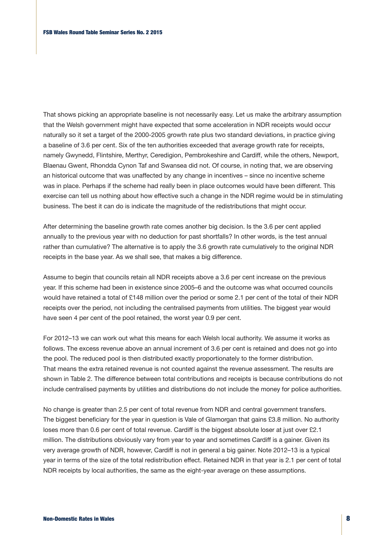That shows picking an appropriate baseline is not necessarily easy. Let us make the arbitrary assumption that the Welsh government might have expected that some acceleration in NDR receipts would occur naturally so it set a target of the 2000-2005 growth rate plus two standard deviations, in practice giving a baseline of 3.6 per cent. Six of the ten authorities exceeded that average growth rate for receipts, namely Gwynedd, Flintshire, Merthyr, Ceredigion, Pembrokeshire and Cardiff, while the others, Newport, Blaenau Gwent, Rhondda Cynon Taf and Swansea did not. Of course, in noting that, we are observing an historical outcome that was unaffected by any change in incentives – since no incentive scheme was in place. Perhaps if the scheme had really been in place outcomes would have been different. This exercise can tell us nothing about how effective such a change in the NDR regime would be in stimulating business. The best it can do is indicate the magnitude of the redistributions that might occur.

After determining the baseline growth rate comes another big decision. Is the 3.6 per cent applied annually to the previous year with no deduction for past shortfalls? In other words, is the test annual rather than cumulative? The alternative is to apply the 3.6 growth rate cumulatively to the original NDR receipts in the base year. As we shall see, that makes a big difference.

Assume to begin that councils retain all NDR receipts above a 3.6 per cent increase on the previous year. If this scheme had been in existence since 2005–6 and the outcome was what occurred councils would have retained a total of £148 million over the period or some 2.1 per cent of the total of their NDR receipts over the period, not including the centralised payments from utilities. The biggest year would have seen 4 per cent of the pool retained, the worst year 0.9 per cent.

For 2012–13 we can work out what this means for each Welsh local authority. We assume it works as follows. The excess revenue above an annual increment of 3.6 per cent is retained and does not go into the pool. The reduced pool is then distributed exactly proportionately to the former distribution. That means the extra retained revenue is not counted against the revenue assessment. The results are shown in Table 2. The difference between total contributions and receipts is because contributions do not include centralised payments by utilities and distributions do not include the money for police authorities.

No change is greater than 2.5 per cent of total revenue from NDR and central government transfers. The biggest beneficiary for the year in question is Vale of Glamorgan that gains £3.8 million. No authority loses more than 0.6 per cent of total revenue. Cardiff is the biggest absolute loser at just over £2.1 million. The distributions obviously vary from year to year and sometimes Cardiff is a gainer. Given its very average growth of NDR, however, Cardiff is not in general a big gainer. Note 2012–13 is a typical year in terms of the size of the total redistribution effect. Retained NDR in that year is 2.1 per cent of total NDR receipts by local authorities, the same as the eight-year average on these assumptions.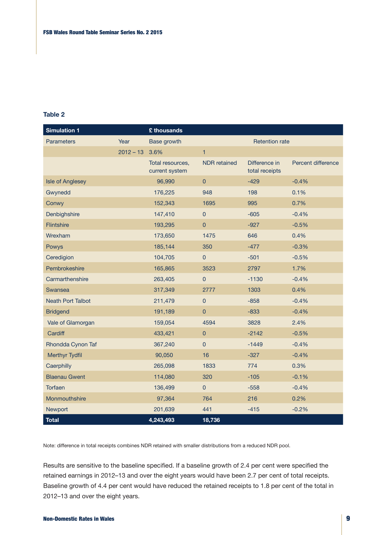### **Table 2**

| <b>Simulation 1</b>      |             | £ thousands                        |                     |                                 |                    |
|--------------------------|-------------|------------------------------------|---------------------|---------------------------------|--------------------|
| <b>Parameters</b>        | Year        | <b>Base growth</b>                 |                     | <b>Retention rate</b>           |                    |
|                          | $2012 - 13$ | 3.6%                               | $\mathbf{1}$        |                                 |                    |
|                          |             | Total resources,<br>current system | <b>NDR</b> retained | Difference in<br>total receipts | Percent difference |
| <b>Isle of Anglesey</b>  |             | 96,990                             | $\mathbf 0$         | $-429$                          | $-0.4%$            |
| Gwynedd                  |             | 176,225                            | 948                 | 198                             | 0.1%               |
| Conwy                    |             | 152,343                            | 1695                | 995                             | 0.7%               |
| Denbighshire             |             | 147,410                            | $\mathbf 0$         | $-605$                          | $-0.4%$            |
| Flintshire               |             | 193,295                            | $\pmb{0}$           | $-927$                          | $-0.5%$            |
| Wrexham                  |             | 173,650                            | 1475                | 646                             | 0.4%               |
| Powys                    |             | 185,144                            | 350                 | $-477$                          | $-0.3%$            |
| Ceredigion               |             | 104,705                            | $\mathsf{O}\xspace$ | $-501$                          | $-0.5%$            |
| Pembrokeshire            |             | 165,865                            | 3523                | 2797                            | 1.7%               |
| Carmarthenshire          |             | 263,405                            | $\pmb{0}$           | $-1130$                         | $-0.4%$            |
| Swansea                  |             | 317,349                            | 2777                | 1303                            | 0.4%               |
| <b>Neath Port Talbot</b> |             | 211,479                            | $\pmb{0}$           | $-858$                          | $-0.4%$            |
| <b>Bridgend</b>          |             | 191,189                            | $\overline{0}$      | $-833$                          | $-0.4%$            |
| Vale of Glamorgan        |             | 159,054                            | 4594                | 3828                            | 2.4%               |
| Cardiff                  |             | 433,421                            | $\pmb{0}$           | $-2142$                         | $-0.5%$            |
| Rhondda Cynon Taf        |             | 367,240                            | $\pmb{0}$           | $-1449$                         | $-0.4%$            |
| <b>Merthyr Tydfil</b>    |             | 90,050                             | 16                  | $-327$                          | $-0.4%$            |
| Caerphilly               |             | 265,098                            | 1833                | 774                             | 0.3%               |
| <b>Blaenau Gwent</b>     |             | 114,080                            | 320                 | $-105$                          | $-0.1%$            |
| Torfaen                  |             | 136,499                            | $\mathsf{O}\xspace$ | $-558$                          | $-0.4%$            |
| Monmouthshire            |             | 97,364                             | 764                 | 216                             | 0.2%               |
| <b>Newport</b>           |             | 201,639                            | 441                 | $-415$                          | $-0.2%$            |
| <b>Total</b>             |             | 4,243,493                          | 18,736              |                                 |                    |

Note: difference in total receipts combines NDR retained with smaller distributions from a reduced NDR pool.

Results are sensitive to the baseline specified. If a baseline growth of 2.4 per cent were specified the retained earnings in 2012–13 and over the eight years would have been 2.7 per cent of total receipts. Baseline growth of 4.4 per cent would have reduced the retained receipts to 1.8 per cent of the total in 2012–13 and over the eight years.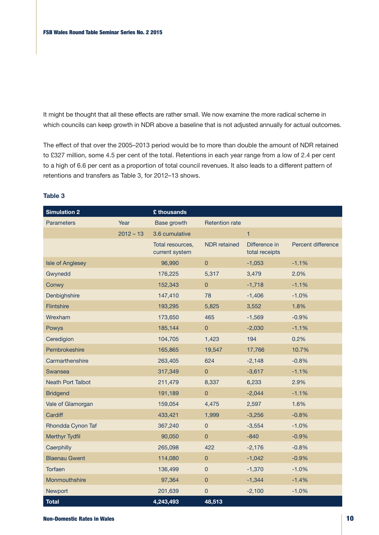It might be thought that all these effects are rather small. We now examine the more radical scheme in which councils can keep growth in NDR above a baseline that is not adjusted annually for actual outcomes.

The effect of that over the 2005–2013 period would be to more than double the amount of NDR retained to £327 million, some 4.5 per cent of the total. Retentions in each year range from a low of 2.4 per cent to a high of 6.6 per cent as a proportion of total council revenues. It also leads to a different pattern of retentions and transfers as Table 3, for 2012–13 shows.

### **Table 3**

| <b>Simulation 2</b>      |             | £ thousands                        |                       |                                 |                    |
|--------------------------|-------------|------------------------------------|-----------------------|---------------------------------|--------------------|
| <b>Parameters</b>        | Year        | Base growth                        | <b>Retention rate</b> |                                 |                    |
|                          | $2012 - 13$ | 3.6 cumulative                     |                       | $\mathbf{1}$                    |                    |
|                          |             | Total resources,<br>current system | <b>NDR</b> retained   | Difference in<br>total receipts | Percent difference |
| <b>Isle of Anglesey</b>  |             | 96,990                             | $\overline{0}$        | $-1,053$                        | $-1.1%$            |
| Gwynedd                  |             | 176,225                            | 5,317                 | 3,479                           | 2.0%               |
| Conwy                    |             | 152,343                            | $\overline{0}$        | $-1,718$                        | $-1.1%$            |
| Denbighshire             |             | 147,410                            | 78                    | $-1,406$                        | $-1.0%$            |
| <b>Flintshire</b>        |             | 193,295                            | 5,825                 | 3,552                           | 1.8%               |
| Wrexham                  |             | 173,650                            | 465                   | $-1,569$                        | $-0.9%$            |
| Powys                    |             | 185,144                            | $\overline{0}$        | $-2,030$                        | $-1.1%$            |
| Ceredigion               |             | 104,705                            | 1,423                 | 194                             | 0.2%               |
| Pembrokeshire            |             | 165,865                            | 19,547                | 17,766                          | 10.7%              |
| Carmarthenshire          |             | 263,405                            | 624                   | $-2,148$                        | $-0.8%$            |
| Swansea                  |             | 317,349                            | $\mathbf 0$           | $-3,617$                        | $-1.1%$            |
| <b>Neath Port Talbot</b> |             | 211,479                            | 8,337                 | 6,233                           | 2.9%               |
| <b>Bridgend</b>          |             | 191,189                            | $\overline{0}$        | $-2,044$                        | $-1.1%$            |
| Vale of Glamorgan        |             | 159,054                            | 4,475                 | 2,597                           | 1.6%               |
| Cardiff                  |             | 433,421                            | 1,999                 | $-3,256$                        | $-0.8%$            |
| Rhondda Cynon Taf        |             | 367,240                            | $\mathbf 0$           | $-3,554$                        | $-1.0%$            |
| <b>Merthyr Tydfil</b>    |             | 90,050                             | $\overline{0}$        | $-840$                          | $-0.9%$            |
| Caerphilly               |             | 265,098                            | 422                   | $-2,176$                        | $-0.8%$            |
| <b>Blaenau Gwent</b>     |             | 114,080                            | $\overline{0}$        | $-1,042$                        | $-0.9%$            |
| <b>Torfaen</b>           |             | 136,499                            | $\mathbf 0$           | $-1,370$                        | $-1.0%$            |
| Monmouthshire            |             | 97,364                             | $\mathbf 0$           | $-1,344$                        | $-1.4%$            |
| <b>Newport</b>           |             | 201,639                            | $\mathbf 0$           | $-2,100$                        | $-1.0%$            |
| <b>Total</b>             |             | 4,243,493                          | 48,513                |                                 |                    |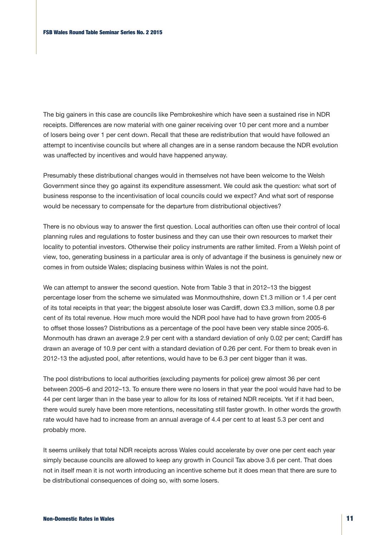The big gainers in this case are councils like Pembrokeshire which have seen a sustained rise in NDR receipts. Differences are now material with one gainer receiving over 10 per cent more and a number of losers being over 1 per cent down. Recall that these are redistribution that would have followed an attempt to incentivise councils but where all changes are in a sense random because the NDR evolution was unaffected by incentives and would have happened anyway.

Presumably these distributional changes would in themselves not have been welcome to the Welsh Government since they go against its expenditure assessment. We could ask the question: what sort of business response to the incentivisation of local councils could we expect? And what sort of response would be necessary to compensate for the departure from distributional objectives?

There is no obvious way to answer the first question. Local authorities can often use their control of local planning rules and regulations to foster business and they can use their own resources to market their locality to potential investors. Otherwise their policy instruments are rather limited. From a Welsh point of view, too, generating business in a particular area is only of advantage if the business is genuinely new or comes in from outside Wales; displacing business within Wales is not the point.

We can attempt to answer the second question. Note from Table 3 that in 2012–13 the biggest percentage loser from the scheme we simulated was Monmouthshire, down £1.3 million or 1.4 per cent of its total receipts in that year; the biggest absolute loser was Cardiff, down £3.3 million, some 0.8 per cent of its total revenue. How much more would the NDR pool have had to have grown from 2005-6 to offset those losses? Distributions as a percentage of the pool have been very stable since 2005-6. Monmouth has drawn an average 2.9 per cent with a standard deviation of only 0.02 per cent; Cardiff has drawn an average of 10.9 per cent with a standard deviation of 0.26 per cent. For them to break even in 2012-13 the adjusted pool, after retentions, would have to be 6.3 per cent bigger than it was.

The pool distributions to local authorities (excluding payments for police) grew almost 36 per cent between 2005–6 and 2012–13. To ensure there were no losers in that year the pool would have had to be 44 per cent larger than in the base year to allow for its loss of retained NDR receipts. Yet if it had been, there would surely have been more retentions, necessitating still faster growth. In other words the growth rate would have had to increase from an annual average of 4.4 per cent to at least 5.3 per cent and probably more.

It seems unlikely that total NDR receipts across Wales could accelerate by over one per cent each year simply because councils are allowed to keep any growth in Council Tax above 3.6 per cent. That does not in itself mean it is not worth introducing an incentive scheme but it does mean that there are sure to be distributional consequences of doing so, with some losers.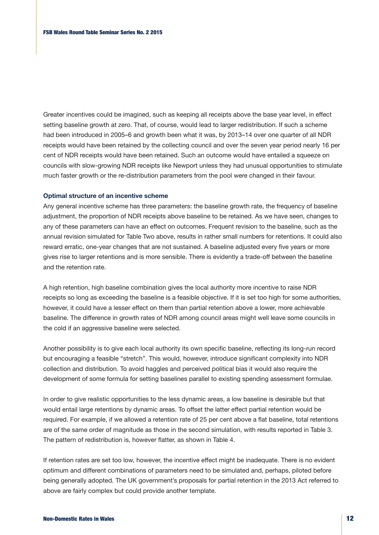Greater incentives could be imagined, such as keeping all receipts above the base year level, in effect setting baseline growth at zero. That, of course, would lead to larger redistribution. If such a scheme had been introduced in 2005–6 and growth been what it was, by 2013–14 over one quarter of all NDR receipts would have been retained by the collecting council and over the seven year period nearly 16 per cent of NDR receipts would have been retained. Such an outcome would have entailed a squeeze on councils with slow-growing NDR receipts like Newport unless they had unusual opportunities to stimulate much faster growth or the re-distribution parameters from the pool were changed in their favour.

#### **Optimal structure of an incentive scheme**

Any general incentive scheme has three parameters: the baseline growth rate, the frequency of baseline adjustment, the proportion of NDR receipts above baseline to be retained. As we have seen, changes to any of these parameters can have an effect on outcomes. Frequent revision to the baseline, such as the annual revision simulated for Table Two above, results in rather small numbers for retentions. It could also reward erratic, one-year changes that are not sustained. A baseline adjusted every five years or more gives rise to larger retentions and is more sensible. There is evidently a trade-off between the baseline and the retention rate.

A high retention, high baseline combination gives the local authority more incentive to raise NDR receipts so long as exceeding the baseline is a feasible objective. If it is set too high for some authorities, however, it could have a lesser effect on them than partial retention above a lower, more achievable baseline. The difference in growth rates of NDR among council areas might well leave some councils in the cold if an aggressive baseline were selected.

Another possibility is to give each local authority its own specific baseline, reflecting its long-run record but encouraging a feasible "stretch". This would, however, introduce significant complexity into NDR collection and distribution. To avoid haggles and perceived political bias it would also require the development of some formula for setting baselines parallel to existing spending assessment formulae.

In order to give realistic opportunities to the less dynamic areas, a low baseline is desirable but that would entail large retentions by dynamic areas. To offset the latter effect partial retention would be required. For example, if we allowed a retention rate of 25 per cent above a flat baseline, total retentions are of the same order of magnitude as those in the second simulation, with results reported in Table 3. The pattern of redistribution is, however flatter, as shown in Table 4.

If retention rates are set too low, however, the incentive effect might be inadequate. There is no evident optimum and different combinations of parameters need to be simulated and, perhaps, piloted before being generally adopted. The UK government's proposals for partial retention in the 2013 Act referred to above are fairly complex but could provide another template.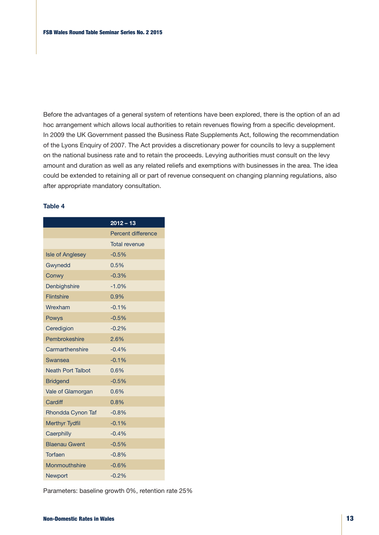Before the advantages of a general system of retentions have been explored, there is the option of an ad hoc arrangement which allows local authorities to retain revenues flowing from a specific development. In 2009 the UK Government passed the Business Rate Supplements Act, following the recommendation of the Lyons Enquiry of 2007. The Act provides a discretionary power for councils to levy a supplement on the national business rate and to retain the proceeds. Levying authorities must consult on the levy amount and duration as well as any related reliefs and exemptions with businesses in the area. The idea could be extended to retaining all or part of revenue consequent on changing planning regulations, also after appropriate mandatory consultation.

### **Table 4**

|                          | $2012 - 13$               |
|--------------------------|---------------------------|
|                          | <b>Percent difference</b> |
|                          | <b>Total revenue</b>      |
| <b>Isle of Anglesey</b>  | $-0.5%$                   |
| Gwynedd                  | 0.5%                      |
| Conwy                    | $-0.3%$                   |
| Denbighshire             | $-1.0%$                   |
| <b>Flintshire</b>        | 0.9%                      |
| Wrexham                  | $-0.1%$                   |
| Powys                    | $-0.5%$                   |
| Ceredigion               | $-0.2%$                   |
| Pembrokeshire            | 2.6%                      |
| Carmarthenshire          | $-0.4%$                   |
| Swansea                  | $-0.1%$                   |
| <b>Neath Port Talbot</b> | 0.6%                      |
| <b>Bridgend</b>          | $-0.5%$                   |
| Vale of Glamorgan        | 0.6%                      |
| Cardiff                  | 0.8%                      |
| Rhondda Cynon Taf        | $-0.8%$                   |
| <b>Merthyr Tydfil</b>    | $-0.1%$                   |
| Caerphilly               | $-0.4%$                   |
| <b>Blaenau Gwent</b>     | $-0.5%$                   |
| Torfaen                  | $-0.8%$                   |
| Monmouthshire            | $-0.6%$                   |
| <b>Newport</b>           | $-0.2%$                   |

Parameters: baseline growth 0%, retention rate 25%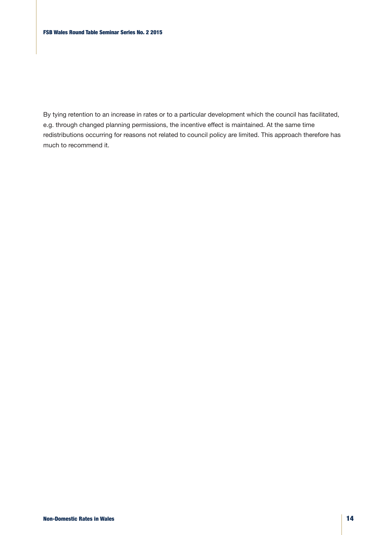By tying retention to an increase in rates or to a particular development which the council has facilitated, e.g. through changed planning permissions, the incentive effect is maintained. At the same time redistributions occurring for reasons not related to council policy are limited. This approach therefore has much to recommend it.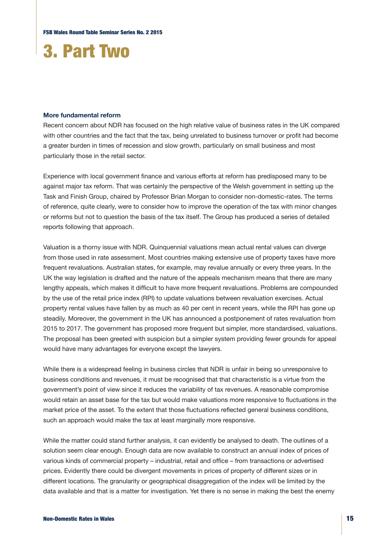# 3. Part Two

#### **More fundamental reform**

Recent concern about NDR has focused on the high relative value of business rates in the UK compared with other countries and the fact that the tax, being unrelated to business turnover or profit had become a greater burden in times of recession and slow growth, particularly on small business and most particularly those in the retail sector.

Experience with local government finance and various efforts at reform has predisposed many to be against major tax reform. That was certainly the perspective of the Welsh government in setting up the Task and Finish Group, chaired by Professor Brian Morgan to consider non-domestic-rates. The terms of reference, quite clearly, were to consider how to improve the operation of the tax with minor changes or reforms but not to question the basis of the tax itself. The Group has produced a series of detailed reports following that approach.

Valuation is a thorny issue with NDR. Quinquennial valuations mean actual rental values can diverge from those used in rate assessment. Most countries making extensive use of property taxes have more frequent revaluations. Australian states, for example, may revalue annually or every three years. In the UK the way legislation is drafted and the nature of the appeals mechanism means that there are many lengthy appeals, which makes it difficult to have more frequent revaluations. Problems are compounded by the use of the retail price index (RPI) to update valuations between revaluation exercises. Actual property rental values have fallen by as much as 40 per cent in recent years, while the RPI has gone up steadily. Moreover, the government in the UK has announced a postponement of rates revaluation from 2015 to 2017. The government has proposed more frequent but simpler, more standardised, valuations. The proposal has been greeted with suspicion but a simpler system providing fewer grounds for appeal would have many advantages for everyone except the lawyers.

While there is a widespread feeling in business circles that NDR is unfair in being so unresponsive to business conditions and revenues, it must be recognised that that characteristic is a virtue from the government's point of view since it reduces the variability of tax revenues. A reasonable compromise would retain an asset base for the tax but would make valuations more responsive to fluctuations in the market price of the asset. To the extent that those fluctuations reflected general business conditions, such an approach would make the tax at least marginally more responsive.

While the matter could stand further analysis, it can evidently be analysed to death. The outlines of a solution seem clear enough. Enough data are now available to construct an annual index of prices of various kinds of commercial property – industrial, retail and office – from transactions or advertised prices. Evidently there could be divergent movements in prices of property of different sizes or in different locations. The granularity or geographical disaggregation of the index will be limited by the data available and that is a matter for investigation. Yet there is no sense in making the best the enemy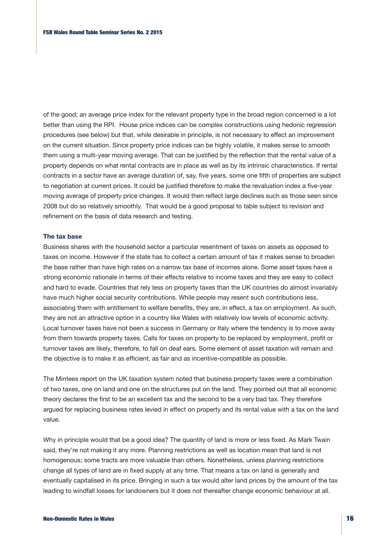of the good; an average price index for the relevant property type in the broad region concerned is a lot better than using the RPI. House price indices can be complex constructions using hedonic regression procedures (see below) but that, while desirable in principle, is not necessary to effect an improvement on the current situation. Since property price indices can be highly volatile, it makes sense to smooth them using a multi-year moving average. That can be justified by the reflection that the rental value of a property depends on what rental contracts are in place as well as by its intrinsic characteristics. If rental contracts in a sector have an average duration of, say, five years, some one fifth of properties are subject to negotiation at current prices. It could be justified therefore to make the revaluation index a five-year moving average of property price changes. It would then reflect large declines such as those seen since 2008 but do so relatively smoothly. That would be a good proposal to table subject to revision and refinement on the basis of data research and testing.

#### **The tax base**

Business shares with the household sector a particular resentment of taxes on assets as opposed to taxes on income. However if the state has to collect a certain amount of tax it makes sense to broaden the base rather than have high rates on a narrow tax base of incomes alone. Some asset taxes have a strong economic rationale in terms of their effects relative to income taxes and they are easy to collect and hard to evade. Countries that rely less on property taxes than the UK countries do almost invariably have much higher social security contributions. While people may resent such contributions less, associating them with entitlement to welfare benefits, they are, in effect, a tax on employment. As such, they are not an attractive option in a country like Wales with relatively low levels of economic activity. Local turnover taxes have not been a success in Germany or Italy where the tendency is to move away from them towards property taxes. Calls for taxes on property to be replaced by employment, profit or turnover taxes are likely, therefore, to fall on deaf ears. Some element of asset taxation will remain and the objective is to make it as efficient, as fair and as incentive-compatible as possible.

The Mirrlees report on the UK taxation system noted that business property taxes were a combination of two taxes, one on land and one on the structures put on the land. They pointed out that all economic theory declares the first to be an excellent tax and the second to be a very bad tax. They therefore argued for replacing business rates levied in effect on property and its rental value with a tax on the land value.

Why in principle would that be a good idea? The quantity of land is more or less fixed. As Mark Twain said, they're not making it any more. Planning restrictions as well as location mean that land is not homogenous; some tracts are more valuable than others. Nonetheless, unless planning restrictions change all types of land are in fixed supply at any time. That means a tax on land is generally and eventually capitalised in its price. Bringing in such a tax would alter land prices by the amount of the tax leading to windfall losses for landowners but it does not thereafter change economic behaviour at all.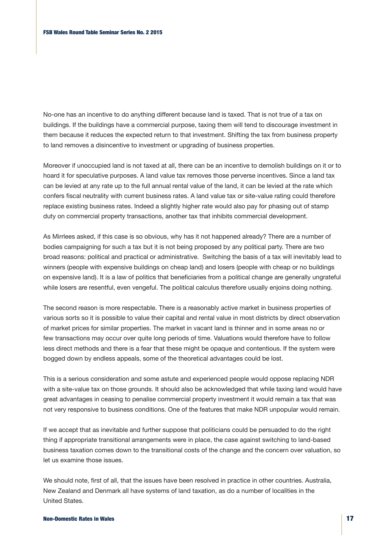No-one has an incentive to do anything different because land is taxed. That is not true of a tax on buildings. If the buildings have a commercial purpose, taxing them will tend to discourage investment in them because it reduces the expected return to that investment. Shifting the tax from business property to land removes a disincentive to investment or upgrading of business properties.

Moreover if unoccupied land is not taxed at all, there can be an incentive to demolish buildings on it or to hoard it for speculative purposes. A land value tax removes those perverse incentives. Since a land tax can be levied at any rate up to the full annual rental value of the land, it can be levied at the rate which confers fiscal neutrality with current business rates. A land value tax or site-value rating could therefore replace existing business rates. Indeed a slightly higher rate would also pay for phasing out of stamp duty on commercial property transactions, another tax that inhibits commercial development.

As Mirrlees asked, if this case is so obvious, why has it not happened already? There are a number of bodies campaigning for such a tax but it is not being proposed by any political party. There are two broad reasons: political and practical or administrative. Switching the basis of a tax will inevitably lead to winners (people with expensive buildings on cheap land) and losers (people with cheap or no buildings on expensive land). It is a law of politics that beneficiaries from a political change are generally ungrateful while losers are resentful, even vengeful. The political calculus therefore usually enjoins doing nothing.

The second reason is more respectable. There is a reasonably active market in business properties of various sorts so it is possible to value their capital and rental value in most districts by direct observation of market prices for similar properties. The market in vacant land is thinner and in some areas no or few transactions may occur over quite long periods of time. Valuations would therefore have to follow less direct methods and there is a fear that these might be opaque and contentious. If the system were bogged down by endless appeals, some of the theoretical advantages could be lost.

This is a serious consideration and some astute and experienced people would oppose replacing NDR with a site-value tax on those grounds. It should also be acknowledged that while taxing land would have great advantages in ceasing to penalise commercial property investment it would remain a tax that was not very responsive to business conditions. One of the features that make NDR unpopular would remain.

If we accept that as inevitable and further suppose that politicians could be persuaded to do the right thing if appropriate transitional arrangements were in place, the case against switching to land-based business taxation comes down to the transitional costs of the change and the concern over valuation, so let us examine those issues.

We should note, first of all, that the issues have been resolved in practice in other countries. Australia, New Zealand and Denmark all have systems of land taxation, as do a number of localities in the United States.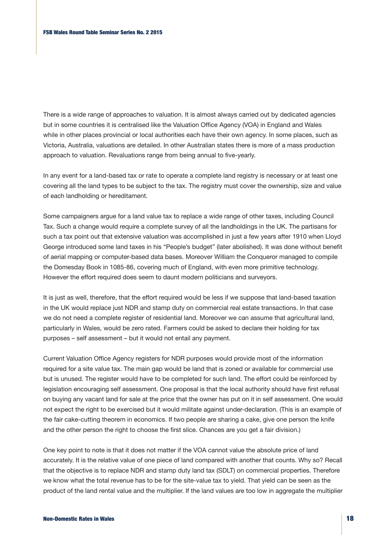There is a wide range of approaches to valuation. It is almost always carried out by dedicated agencies but in some countries it is centralised like the Valuation Office Agency (VOA) in England and Wales while in other places provincial or local authorities each have their own agency. In some places, such as Victoria, Australia, valuations are detailed. In other Australian states there is more of a mass production approach to valuation. Revaluations range from being annual to five-yearly.

In any event for a land-based tax or rate to operate a complete land registry is necessary or at least one covering all the land types to be subject to the tax. The registry must cover the ownership, size and value of each landholding or hereditament.

Some campaigners argue for a land value tax to replace a wide range of other taxes, including Council Tax. Such a change would require a complete survey of all the landholdings in the UK. The partisans for such a tax point out that extensive valuation was accomplished in just a few years after 1910 when Lloyd George introduced some land taxes in his "People's budget" (later abolished). It was done without benefit of aerial mapping or computer-based data bases. Moreover William the Conqueror managed to compile the Domesday Book in 1085-86, covering much of England, with even more primitive technology. However the effort required does seem to daunt modern politicians and surveyors.

It is just as well, therefore, that the effort required would be less if we suppose that land-based taxation in the UK would replace just NDR and stamp duty on commercial real estate transactions. In that case we do not need a complete register of residential land. Moreover we can assume that agricultural land, particularly in Wales, would be zero rated. Farmers could be asked to declare their holding for tax purposes – self assessment – but it would not entail any payment.

Current Valuation Office Agency registers for NDR purposes would provide most of the information required for a site value tax. The main gap would be land that is zoned or available for commercial use but is unused. The register would have to be completed for such land. The effort could be reinforced by legislation encouraging self assessment. One proposal is that the local authority should have first refusal on buying any vacant land for sale at the price that the owner has put on it in self assessment. One would not expect the right to be exercised but it would militate against under-declaration. (This is an example of the fair cake-cutting theorem in economics. If two people are sharing a cake, give one person the knife and the other person the right to choose the first slice. Chances are you get a fair division.)

One key point to note is that it does not matter if the VOA cannot value the absolute price of land accurately. It is the relative value of one piece of land compared with another that counts. Why so? Recall that the objective is to replace NDR and stamp duty land tax (SDLT) on commercial properties. Therefore we know what the total revenue has to be for the site-value tax to yield. That yield can be seen as the product of the land rental value and the multiplier. If the land values are too low in aggregate the multiplier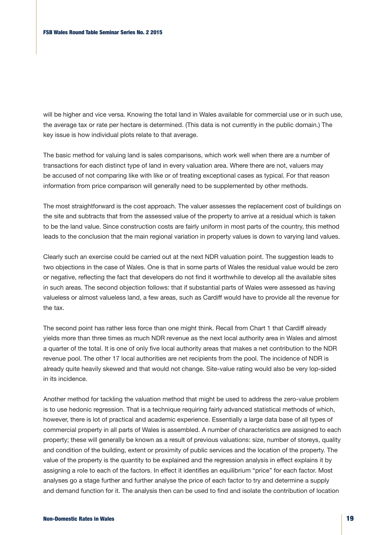will be higher and vice versa. Knowing the total land in Wales available for commercial use or in such use, the average tax or rate per hectare is determined. (This data is not currently in the public domain.) The key issue is how individual plots relate to that average.

The basic method for valuing land is sales comparisons, which work well when there are a number of transactions for each distinct type of land in every valuation area. Where there are not, valuers may be accused of not comparing like with like or of treating exceptional cases as typical. For that reason information from price comparison will generally need to be supplemented by other methods.

The most straightforward is the cost approach. The valuer assesses the replacement cost of buildings on the site and subtracts that from the assessed value of the property to arrive at a residual which is taken to be the land value. Since construction costs are fairly uniform in most parts of the country, this method leads to the conclusion that the main regional variation in property values is down to varying land values.

Clearly such an exercise could be carried out at the next NDR valuation point. The suggestion leads to two objections in the case of Wales. One is that in some parts of Wales the residual value would be zero or negative, reflecting the fact that developers do not find it worthwhile to develop all the available sites in such areas. The second objection follows: that if substantial parts of Wales were assessed as having valueless or almost valueless land, a few areas, such as Cardiff would have to provide all the revenue for the tax.

The second point has rather less force than one might think. Recall from Chart 1 that Cardiff already yields more than three times as much NDR revenue as the next local authority area in Wales and almost a quarter of the total. It is one of only five local authority areas that makes a net contribution to the NDR revenue pool. The other 17 local authorities are net recipients from the pool. The incidence of NDR is already quite heavily skewed and that would not change. Site-value rating would also be very lop-sided in its incidence.

Another method for tackling the valuation method that might be used to address the zero-value problem is to use hedonic regression. That is a technique requiring fairly advanced statistical methods of which, however, there is lot of practical and academic experience. Essentially a large data base of all types of commercial property in all parts of Wales is assembled. A number of characteristics are assigned to each property; these will generally be known as a result of previous valuations: size, number of storeys, quality and condition of the building, extent or proximity of public services and the location of the property. The value of the property is the quantity to be explained and the regression analysis in effect explains it by assigning a role to each of the factors. In effect it identifies an equilibrium "price" for each factor. Most analyses go a stage further and further analyse the price of each factor to try and determine a supply and demand function for it. The analysis then can be used to find and isolate the contribution of location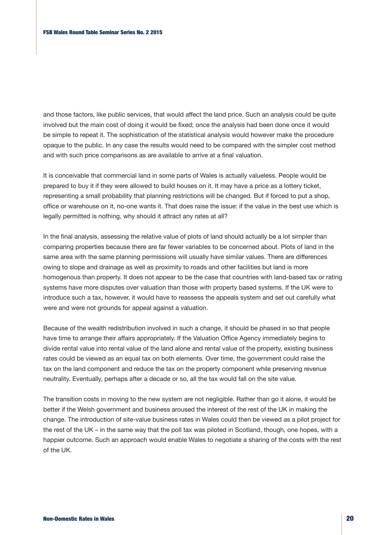and those factors, like public services, that would affect the land price. Such an analysis could be quite involved but the main cost of doing it would be fixed; once the analysis had been done once it would be simple to repeat it. The sophistication of the statistical analysis would however make the procedure opaque to the public. In any case the results would need to be compared with the simpler cost method and with such price comparisons as are available to arrive at a final valuation.

It is conceivable that commercial land in some parts of Wales is actually valueless. People would be prepared to buy it if they were allowed to build houses on it. It may have a price as a lottery ticket, representing a small probability that planning restrictions will be changed. But if forced to put a shop, office or warehouse on it, no-one wants it. That does raise the issue: if the value in the best use which is legally permitted is nothing, why should it attract any rates at all?

In the final analysis, assessing the relative value of plots of land should actually be a lot simpler than comparing properties because there are far fewer variables to be concerned about. Plots of land in the same area with the same planning permissions will usually have similar values. There are differences owing to slope and drainage as well as proximity to roads and other facilities but land is more homogenous than property. It does not appear to be the case that countries with land-based tax or rating systems have more disputes over valuation than those with property based systems. If the UK were to introduce such a tax, however, it would have to reassess the appeals system and set out carefully what were and were not grounds for appeal against a valuation.

Because of the wealth redistribution involved in such a change, it should be phased in so that people have time to arrange their affairs appropriately. If the Valuation Office Agency immediately begins to divide rental value into rental value of the land alone and rental value of the property, existing business rates could be viewed as an equal tax on both elements. Over time, the government could raise the tax on the land component and reduce the tax on the property component while preserving revenue neutrality. Eventually, perhaps after a decade or so, all the tax would fall on the site value.

The transition costs in moving to the new system are not negligible. Rather than go it alone, it would be better if the Welsh government and business aroused the interest of the rest of the UK in making the change. The introduction of site-value business rates in Wales could then be viewed as a pilot project for the rest of the UK – in the same way that the poll tax was piloted in Scotland, though, one hopes, with a happier outcome. Such an approach would enable Wales to negotiate a sharing of the costs with the rest of the UK.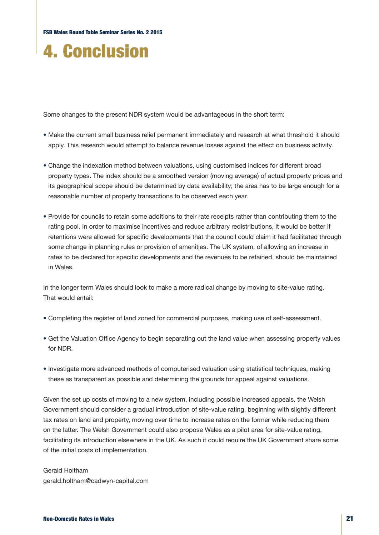# 4. Conclusion

Some changes to the present NDR system would be advantageous in the short term:

- Make the current small business relief permanent immediately and research at what threshold it should apply. This research would attempt to balance revenue losses against the effect on business activity.
- Change the indexation method between valuations, using customised indices for different broad property types. The index should be a smoothed version (moving average) of actual property prices and its geographical scope should be determined by data availability; the area has to be large enough for a reasonable number of property transactions to be observed each year.
- Provide for councils to retain some additions to their rate receipts rather than contributing them to the rating pool. In order to maximise incentives and reduce arbitrary redistributions, it would be better if retentions were allowed for specific developments that the council could claim it had facilitated through some change in planning rules or provision of amenities. The UK system, of allowing an increase in rates to be declared for specific developments and the revenues to be retained, should be maintained in Wales.

In the longer term Wales should look to make a more radical change by moving to site-value rating. That would entail:

- Completing the register of land zoned for commercial purposes, making use of self-assessment.
- Get the Valuation Office Agency to begin separating out the land value when assessing property values for NDR.
- Investigate more advanced methods of computerised valuation using statistical techniques, making these as transparent as possible and determining the grounds for appeal against valuations.

Given the set up costs of moving to a new system, including possible increased appeals, the Welsh Government should consider a gradual introduction of site-value rating, beginning with slightly different tax rates on land and property, moving over time to increase rates on the former while reducing them on the latter. The Welsh Government could also propose Wales as a pilot area for site-value rating, facilitating its introduction elsewhere in the UK. As such it could require the UK Government share some of the initial costs of implementation.

Gerald Holtham gerald.holtham@cadwyn-capital.com